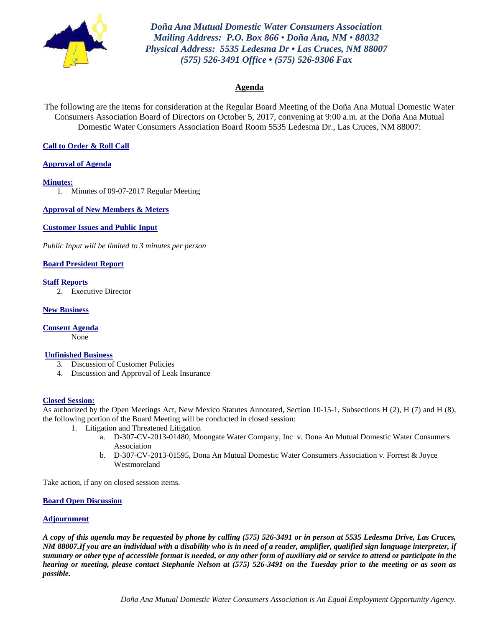

*Doña Ana Mutual Domestic Water Consumers Association Mailing Address: P.O. Box 866 • Doña Ana, NM • 88032 Physical Address: 5535 Ledesma Dr • Las Cruces, NM 88007 (575) 526-3491 Office • (575) 526-9306 Fax*

#### **Agenda**

The following are the items for consideration at the Regular Board Meeting of the Doña Ana Mutual Domestic Water Consumers Association Board of Directors on October 5, 2017, convening at 9:00 a.m. at the Doña Ana Mutual Domestic Water Consumers Association Board Room 5535 Ledesma Dr., Las Cruces, NM 88007:

#### **Call to Order & Roll Call**

#### **Approval of Agenda**

**Minutes:**

1. Minutes of 09-07-2017 Regular Meeting

**Approval of New Members & Meters**

**Customer Issues and Public Input**

*Public Input will be limited to 3 minutes per person*

**Board President Report**

**Staff Reports** 2. Executive Director

**New Business**

**Consent Agenda** None

#### **Unfinished Business**

- 3. Discussion of Customer Policies
- 4. Discussion and Approval of Leak Insurance

#### **Closed Session:**

As authorized by the Open Meetings Act, New Mexico Statutes Annotated, Section 10-15-1, Subsections H (2), H (7) and H (8), the following portion of the Board Meeting will be conducted in closed session:

- 1. Litigation and Threatened Litigation
	- a. D-307-CV-2013-01480, Moongate Water Company, Inc v. Dona An Mutual Domestic Water Consumers Association
	- b. D-307-CV-2013-01595, Dona An Mutual Domestic Water Consumers Association v. Forrest & Joyce Westmoreland

Take action, if any on closed session items.

#### **Board Open Discussion**

#### **Adjournment**

*A copy of this agenda may be requested by phone by calling (575) 526-3491 or in person at 5535 Ledesma Drive, Las Cruces, NM 88007.If you are an individual with a disability who is in need of a reader, amplifier, qualified sign language interpreter, if summary or other type of accessible format is needed, or any other form of auxiliary aid or service to attend or participate in the hearing or meeting, please contact Stephanie Nelson at (575) 526-3491 on the Tuesday prior to the meeting or as soon as possible.*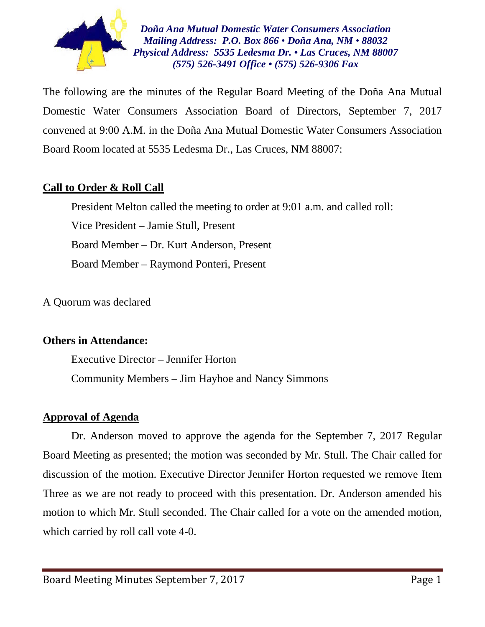

*Doña Ana Mutual Domestic Water Consumers Association Mailing Address: P.O. Box 866 • Doña Ana, NM • 88032 Physical Address: 5535 Ledesma Dr. • Las Cruces, NM 88007 (575) 526-3491 Office • (575) 526-9306 Fax*

The following are the minutes of the Regular Board Meeting of the Doña Ana Mutual Domestic Water Consumers Association Board of Directors, September 7, 2017 convened at 9:00 A.M. in the Doña Ana Mutual Domestic Water Consumers Association Board Room located at 5535 Ledesma Dr., Las Cruces, NM 88007:

# **Call to Order & Roll Call**

President Melton called the meeting to order at 9:01 a.m. and called roll: Vice President – Jamie Stull, Present Board Member – Dr. Kurt Anderson, Present Board Member – Raymond Ponteri, Present

A Quorum was declared

# **Others in Attendance:**

Executive Director – Jennifer Horton Community Members – Jim Hayhoe and Nancy Simmons

# **Approval of Agenda**

Dr. Anderson moved to approve the agenda for the September 7, 2017 Regular Board Meeting as presented; the motion was seconded by Mr. Stull. The Chair called for discussion of the motion. Executive Director Jennifer Horton requested we remove Item Three as we are not ready to proceed with this presentation. Dr. Anderson amended his motion to which Mr. Stull seconded. The Chair called for a vote on the amended motion, which carried by roll call vote 4-0.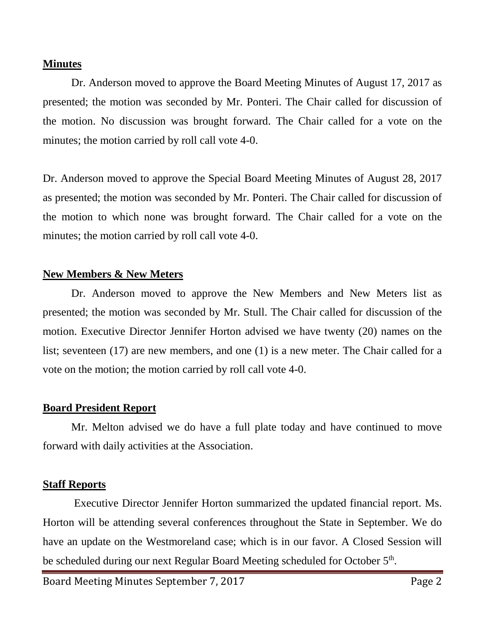# **Minutes**

Dr. Anderson moved to approve the Board Meeting Minutes of August 17, 2017 as presented; the motion was seconded by Mr. Ponteri. The Chair called for discussion of the motion. No discussion was brought forward. The Chair called for a vote on the minutes; the motion carried by roll call vote 4-0.

Dr. Anderson moved to approve the Special Board Meeting Minutes of August 28, 2017 as presented; the motion was seconded by Mr. Ponteri. The Chair called for discussion of the motion to which none was brought forward. The Chair called for a vote on the minutes; the motion carried by roll call vote 4-0.

# **New Members & New Meters**

Dr. Anderson moved to approve the New Members and New Meters list as presented; the motion was seconded by Mr. Stull. The Chair called for discussion of the motion. Executive Director Jennifer Horton advised we have twenty (20) names on the list; seventeen (17) are new members, and one (1) is a new meter. The Chair called for a vote on the motion; the motion carried by roll call vote 4-0.

# **Board President Report**

Mr. Melton advised we do have a full plate today and have continued to move forward with daily activities at the Association.

# **Staff Reports**

Executive Director Jennifer Horton summarized the updated financial report. Ms. Horton will be attending several conferences throughout the State in September. We do have an update on the Westmoreland case; which is in our favor. A Closed Session will be scheduled during our next Regular Board Meeting scheduled for October 5<sup>th</sup>.

Board Meeting Minutes September 7, 2017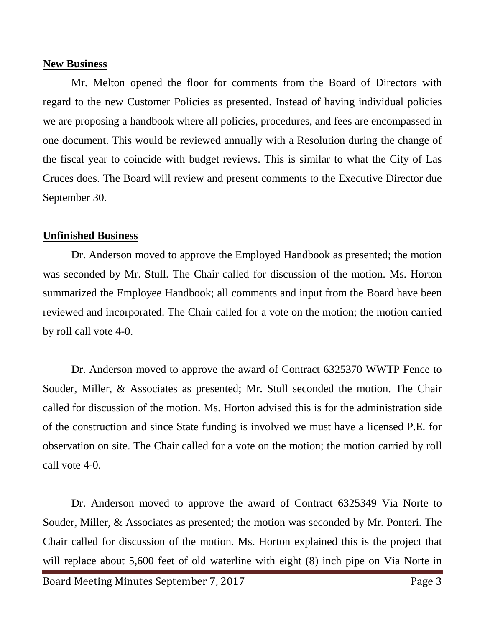### **New Business**

Mr. Melton opened the floor for comments from the Board of Directors with regard to the new Customer Policies as presented. Instead of having individual policies we are proposing a handbook where all policies, procedures, and fees are encompassed in one document. This would be reviewed annually with a Resolution during the change of the fiscal year to coincide with budget reviews. This is similar to what the City of Las Cruces does. The Board will review and present comments to the Executive Director due September 30.

# **Unfinished Business**

Dr. Anderson moved to approve the Employed Handbook as presented; the motion was seconded by Mr. Stull. The Chair called for discussion of the motion. Ms. Horton summarized the Employee Handbook; all comments and input from the Board have been reviewed and incorporated. The Chair called for a vote on the motion; the motion carried by roll call vote 4-0.

Dr. Anderson moved to approve the award of Contract 6325370 WWTP Fence to Souder, Miller, & Associates as presented; Mr. Stull seconded the motion. The Chair called for discussion of the motion. Ms. Horton advised this is for the administration side of the construction and since State funding is involved we must have a licensed P.E. for observation on site. The Chair called for a vote on the motion; the motion carried by roll call vote 4-0.

Dr. Anderson moved to approve the award of Contract 6325349 Via Norte to Souder, Miller, & Associates as presented; the motion was seconded by Mr. Ponteri. The Chair called for discussion of the motion. Ms. Horton explained this is the project that will replace about 5,600 feet of old waterline with eight  $(8)$  inch pipe on Via Norte in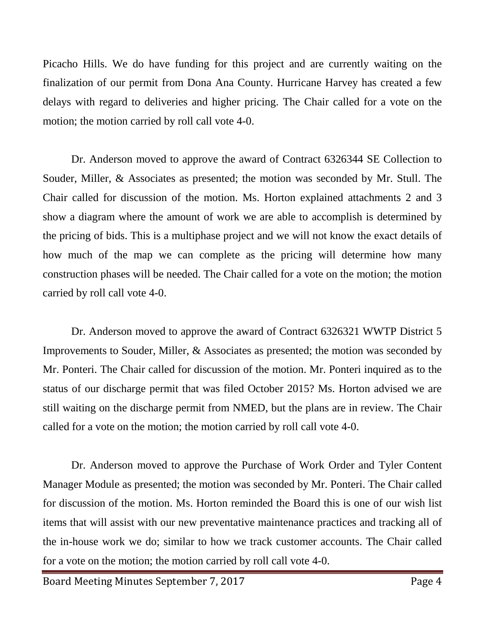Picacho Hills. We do have funding for this project and are currently waiting on the finalization of our permit from Dona Ana County. Hurricane Harvey has created a few delays with regard to deliveries and higher pricing. The Chair called for a vote on the motion; the motion carried by roll call vote 4-0.

Dr. Anderson moved to approve the award of Contract 6326344 SE Collection to Souder, Miller, & Associates as presented; the motion was seconded by Mr. Stull. The Chair called for discussion of the motion. Ms. Horton explained attachments 2 and 3 show a diagram where the amount of work we are able to accomplish is determined by the pricing of bids. This is a multiphase project and we will not know the exact details of how much of the map we can complete as the pricing will determine how many construction phases will be needed. The Chair called for a vote on the motion; the motion carried by roll call vote 4-0.

Dr. Anderson moved to approve the award of Contract 6326321 WWTP District 5 Improvements to Souder, Miller, & Associates as presented; the motion was seconded by Mr. Ponteri. The Chair called for discussion of the motion. Mr. Ponteri inquired as to the status of our discharge permit that was filed October 2015? Ms. Horton advised we are still waiting on the discharge permit from NMED, but the plans are in review. The Chair called for a vote on the motion; the motion carried by roll call vote 4-0.

Dr. Anderson moved to approve the Purchase of Work Order and Tyler Content Manager Module as presented; the motion was seconded by Mr. Ponteri. The Chair called for discussion of the motion. Ms. Horton reminded the Board this is one of our wish list items that will assist with our new preventative maintenance practices and tracking all of the in-house work we do; similar to how we track customer accounts. The Chair called for a vote on the motion; the motion carried by roll call vote 4-0.

Board Meeting Minutes September 7, 2017 Page 4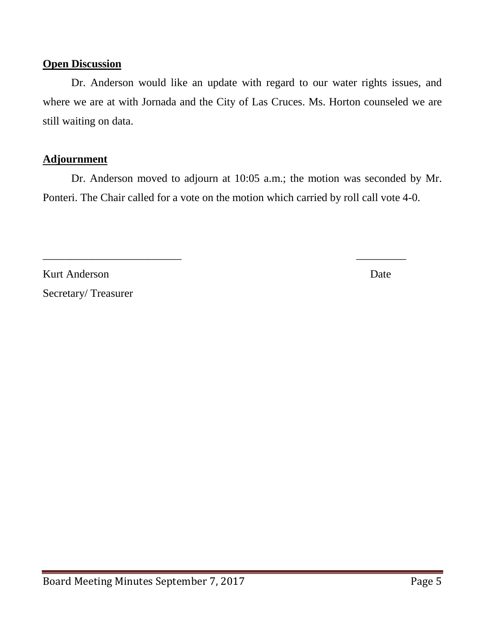# **Open Discussion**

Dr. Anderson would like an update with regard to our water rights issues, and where we are at with Jornada and the City of Las Cruces. Ms. Horton counseled we are still waiting on data.

# **Adjournment**

Dr. Anderson moved to adjourn at 10:05 a.m.; the motion was seconded by Mr. Ponteri. The Chair called for a vote on the motion which carried by roll call vote 4-0.

\_\_\_\_\_\_\_\_\_\_\_\_\_\_\_\_\_\_\_\_\_\_\_\_\_ \_\_\_\_\_\_\_\_\_

Kurt Anderson Date Secretary/ Treasurer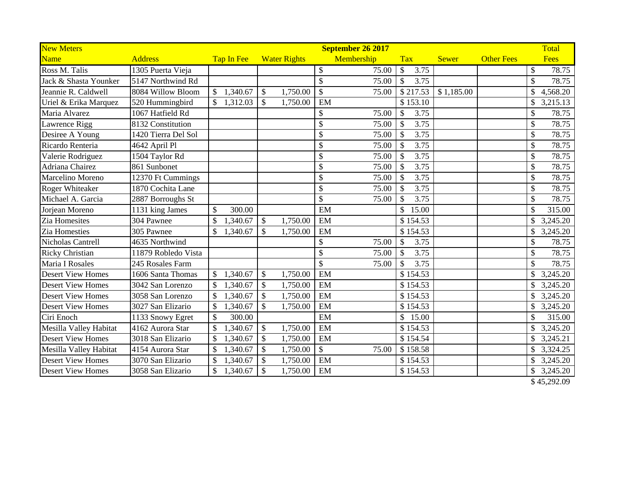| <b>New Meters</b>        |                     |                           |               |                     |                           | September 26 2017 |                       |              |                   |                           | Total       |
|--------------------------|---------------------|---------------------------|---------------|---------------------|---------------------------|-------------------|-----------------------|--------------|-------------------|---------------------------|-------------|
| Name                     | <b>Address</b>      | Tap In Fee                |               | <b>Water Rights</b> |                           | Membership        | <b>Tax</b>            | <b>Sewer</b> | <b>Other Fees</b> |                           | Fees        |
| Ross M. Talis            | 1305 Puerta Vieja   |                           |               |                     | \$                        | 75.00             | \$<br>3.75            |              |                   | \$                        | 78.75       |
| Jack & Shasta Younker    | 5147 Northwind Rd   |                           |               |                     | \$                        | 75.00             | 3.75<br>$\mathcal{S}$ |              |                   | $\mathcal{S}$             | 78.75       |
| Jeannie R. Caldwell      | 8084 Willow Bloom   | \$1,340.67                | \$            | 1,750.00            | $\overline{\mathcal{S}}$  | 75.00             | \$217.53              | \$1,185.00   |                   | \$                        | 4,568.20    |
| Uriel & Erika Marquez    | 520 Hummingbird     | 1,312.03                  | <sup>\$</sup> | 1,750.00            | EM                        |                   | \$153.10              |              |                   | \$                        | 3,215.13    |
| Maria Alvarez            | 1067 Hatfield Rd    |                           |               |                     | \$                        | 75.00             | $\mathcal{S}$<br>3.75 |              |                   | \$                        | 78.75       |
| Lawrence Rigg            | 8132 Constitution   |                           |               |                     | \$                        | 75.00             | $\mathcal{S}$<br>3.75 |              |                   | \$                        | 78.75       |
| Desiree A Young          | 1420 Tierra Del Sol |                           |               |                     | \$                        | 75.00             | 3.75<br>$\mathcal{S}$ |              |                   | $\mathcal{S}$             | 78.75       |
| Ricardo Renteria         | 4642 April Pl       |                           |               |                     | \$                        | 75.00             | 3.75<br>$\mathcal{S}$ |              |                   | \$                        | 78.75       |
| Valerie Rodriguez        | 1504 Taylor Rd      |                           |               |                     | \$                        | 75.00             | $\mathcal{S}$<br>3.75 |              |                   | \$                        | 78.75       |
| Adriana Chairez          | 861 Sunbonet        |                           |               |                     | \$                        | 75.00             | 3.75<br>$\mathcal{S}$ |              |                   | $\boldsymbol{\mathsf{S}}$ | 78.75       |
| Marcelino Moreno         | 12370 Ft Cummings   |                           |               |                     | \$                        | 75.00             | 3.75<br>$\mathcal{S}$ |              |                   | \$                        | 78.75       |
| <b>Roger Whiteaker</b>   | 1870 Cochita Lane   |                           |               |                     | \$                        | 75.00             | 3.75<br>$\mathcal{S}$ |              |                   | \$                        | 78.75       |
| Michael A. Garcia        | 2887 Borroughs St   |                           |               |                     | $\mathcal{S}$             | 75.00             | 3.75<br>\$            |              |                   | $\mathcal{S}$             | 78.75       |
| Jorjean Moreno           | 1131 king James     | 300.00<br>\$              |               |                     | EM                        |                   | \$<br>15.00           |              |                   | \$                        | 315.00      |
| Zia Homesites            | 304 Pawnee          | \$<br>1,340.67            | $\mathcal{S}$ | 1,750.00            | EM                        |                   | \$154.53              |              |                   | \$                        | 3,245.20    |
| Zia Homesties            | 305 Pawnee          | \$<br>1,340.67            | <sup>\$</sup> | 1,750.00            | EM                        |                   | \$154.53              |              |                   | \$                        | 3,245.20    |
| Nicholas Cantrell        | 4635 Northwind      |                           |               |                     | \$                        | 75.00             | $\mathcal{S}$<br>3.75 |              |                   | \$                        | 78.75       |
| <b>Ricky Christian</b>   | 11879 Robledo Vista |                           |               |                     | \$                        | 75.00             | $\mathcal{S}$<br>3.75 |              |                   | $\boldsymbol{\mathsf{S}}$ | 78.75       |
| <b>Maria I Rosales</b>   | 245 Rosales Farm    |                           |               |                     | $\mathbb{S}$              | 75.00             | 3.75<br>$\mathcal{S}$ |              |                   | $\mathcal{S}$             | 78.75       |
| <b>Desert View Homes</b> | 1606 Santa Thomas   | 1,340.67<br>\$            | $\mathcal{S}$ | 1,750.00            | EM                        |                   | \$154.53              |              |                   | \$                        | 3,245.20    |
| <b>Desert View Homes</b> | 3042 San Lorenzo    | \$<br>1,340.67            | $\mathcal{S}$ | 1,750.00            | EM                        |                   | \$154.53              |              |                   | \$                        | 3,245.20    |
| <b>Desert View Homes</b> | 3058 San Lorenzo    | 1,340.67<br>\$            | $\mathcal{S}$ | 1,750.00            | EM                        |                   | \$154.53              |              |                   | $\mathbb{S}$              | 3,245.20    |
| <b>Desert View Homes</b> | 3027 San Elizario   | 1,340.67<br>\$            | $\mathcal{S}$ | 1,750.00            | EM                        |                   | \$154.53              |              |                   | \$                        | 3,245.20    |
| Ciri Enoch               | 1133 Snowy Egret    | \$<br>300.00              |               |                     | EM                        |                   | \$<br>15.00           |              |                   | \$                        | 315.00      |
| Mesilla Valley Habitat   | 4162 Aurora Star    | \$<br>1,340.67            | $\mathcal{S}$ | 1,750.00            | EM                        |                   | \$154.53              |              |                   |                           | \$3,245.20  |
| <b>Desert View Homes</b> | 3018 San Elizario   | 1,340.67<br>\$            | $\mathcal{S}$ | 1,750.00            | EM                        |                   | \$154.54              |              |                   | \$                        | 3,245.21    |
| Mesilla Valley Habitat   | 4154 Aurora Star    | 1,340.67<br>\$            | $\mathcal{S}$ | 1,750.00            | $\boldsymbol{\mathsf{S}}$ | 75.00             | \$158.58              |              |                   | \$                        | 3,324.25    |
| <b>Desert View Homes</b> | 3070 San Elizario   | \$<br>1,340.67            | <sup>\$</sup> | 1,750.00            | EM                        |                   | \$154.53              |              |                   |                           | \$3,245.20  |
| <b>Desert View Homes</b> | 3058 San Elizario   | 1,340.67<br>$\mathcal{S}$ | $\mathcal{S}$ | 1,750.00            | EM                        |                   | \$154.53              |              |                   | \$                        | 3,245.20    |
|                          |                     |                           |               |                     |                           |                   |                       |              |                   |                           | \$45,292.09 |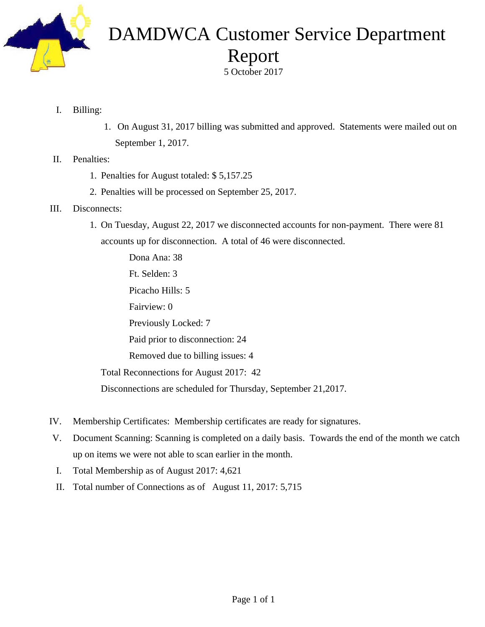

# DAMDWCA Customer Service Department Report

5 October 2017

- I. Billing:
- 1. On August 31, 2017 billing was submitted and approved. Statements were mailed out on September 1, 2017.
- II. Penalties:
	- 1. Penalties for August totaled: \$ 5,157.25
	- 2. Penalties will be processed on September 25, 2017.
- III. Disconnects:
	- 1. On Tuesday, August 22, 2017 we disconnected accounts for non-payment. There were 81 accounts up for disconnection. A total of 46 were disconnected.

 Dona Ana: 38 Ft. Selden: 3 Picacho Hills: 5 Fairview: 0 Previously Locked: 7 Paid prior to disconnection: 24 Removed due to billing issues: 4 Total Reconnections for August 2017: 42 Disconnections are scheduled for Thursday, September 21,2017.

- IV. Membership Certificates: Membership certificates are ready for signatures.
- V. Document Scanning: Scanning is completed on a daily basis. Towards the end of the month we catch up on items we were not able to scan earlier in the month.
- I. Total Membership as of August 2017: 4,621
- II. Total number of Connections as of August 11, 2017: 5,715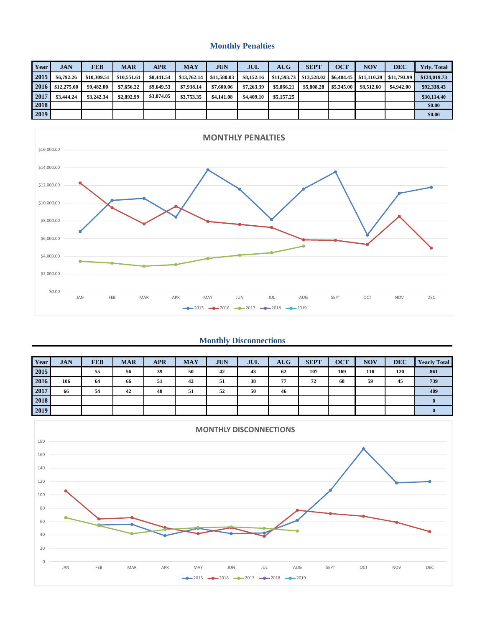#### **Monthly Penalties**

| Year | <b>JAN</b>  | <b>FEB</b>  | <b>MAR</b>  | APR        | <b>MAY</b>  | <b>JUN</b>  | <b>JUL</b> | <b>AUG</b> | <b>SEPT</b>                                        | <b>OCT</b> | <b>NOV</b> | DEC         | <b>Yrly. Total</b> |
|------|-------------|-------------|-------------|------------|-------------|-------------|------------|------------|----------------------------------------------------|------------|------------|-------------|--------------------|
| 2015 | \$6,792.26  | \$10,309.51 | \$10,551.61 | \$8,441.54 | \$13,762.14 | \$11.580.03 | \$8,152.16 |            | $$11.593.73$ $$13.528.02$ $$6.404.45$ $$11.110.29$ |            |            | \$11,793.99 | \$124,019.73       |
| 2016 | \$12,275.00 | \$9,482.00  | \$7,656.22  | \$9,649.53 | \$7,938.14  | \$7,600.06  | \$7,263,39 | \$5,866.21 | \$5,808.28                                         | \$5,345.00 | \$8,512.60 | \$4,942.00  | \$92,338.43        |
| 2017 | \$3,444.24  | \$3,242.34  | \$2,892.99  | \$3,074.05 | \$3,753.35  | \$4,141.08  | \$4,409.10 | \$5,157.25 |                                                    |            |            |             | \$30,114.40        |
| 2018 |             |             |             |            |             |             |            |            |                                                    |            |            |             | \$0.00             |
| 2019 |             |             |             |            |             |             |            |            |                                                    |            |            |             | \$0.00             |



#### **Monthly Disconnections**

| Year | <b>JAN</b> | <b>FEB</b> | <b>MAR</b> | <b>APR</b> | <b>MAY</b> | <b>JUN</b> | <b>JUL</b> | <b>AUG</b> | <b>SEPT</b> | <b>OCT</b> | <b>NOV</b> | <b>DEC</b> | <b>Yearly Total</b> |
|------|------------|------------|------------|------------|------------|------------|------------|------------|-------------|------------|------------|------------|---------------------|
| 2015 |            | 55         | 56         | 39         | 50         | 42         | 43         | 62         | 107         | 169        | 118        | 120        | 861                 |
| 2016 | 106        | 64         | 66         | 51         | 42         | 51         | 38         | 77         | 72          | 68         | 59         | 45         | 739                 |
| 2017 | 66         | 54         | 42         | 48         | 51         | 52         | 50         | 46         |             |            |            |            | 409                 |
| 2018 |            |            |            |            |            |            |            |            |             |            |            |            |                     |
| 2019 |            |            |            |            |            |            |            |            |             |            |            |            |                     |

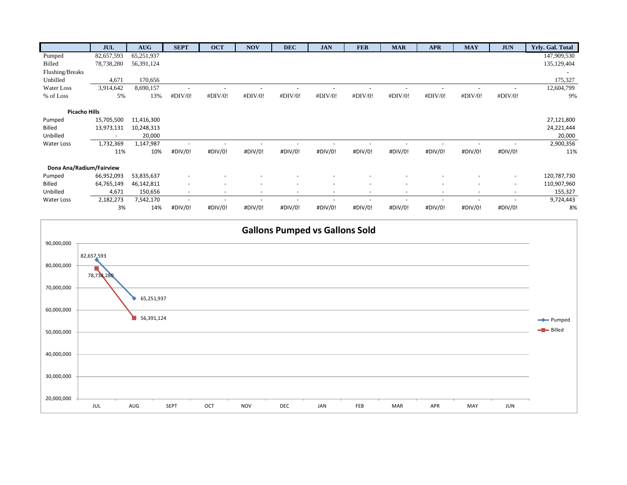|                          | <b>JUL</b>               | <b>AUG</b> | <b>SEPT</b>              | <b>OCT</b>               | <b>NOV</b>               | <b>DEC</b> | <b>JAN</b> | <b>FEB</b> | <b>MAR</b> | <b>APR</b> | <b>MAY</b> | <b>JUN</b> | Yrly. Gal. Total |
|--------------------------|--------------------------|------------|--------------------------|--------------------------|--------------------------|------------|------------|------------|------------|------------|------------|------------|------------------|
| Pumped                   | 82,657,593               | 65,251,937 |                          |                          |                          |            |            |            |            |            |            |            | 147,909,530      |
| <b>Billed</b>            | 78,738,280               | 56,391,124 |                          |                          |                          |            |            |            |            |            |            |            | 135, 129, 404    |
| Flushing/Breaks          |                          |            |                          |                          |                          |            |            |            |            |            |            |            |                  |
| Unbilled                 | 4,671                    | 170,656    |                          |                          |                          |            |            |            |            |            |            |            | 175,327          |
| Water Loss               | 3,914,642                | 8,690,157  |                          |                          |                          |            |            |            |            |            |            |            | 12,604,799       |
| % of Loss                | 5%                       | 13%        | #DIV/0!                  | #DIV/0!                  | #DIV/0!                  | #DIV/0!    | #DIV/0!    | #DIV/0!    | #DIV/0!    | #DIV/0!    | #DIV/0!    | #DIV/0!    | 9%               |
|                          |                          |            |                          |                          |                          |            |            |            |            |            |            |            |                  |
| <b>Picacho Hills</b>     |                          |            |                          |                          |                          |            |            |            |            |            |            |            |                  |
| Pumped                   | 15,705,500               | 11,416,300 |                          |                          |                          |            |            |            |            |            |            |            | 27,121,800       |
| Billed                   | 13,973,131               | 10,248,313 |                          |                          |                          |            |            |            |            |            |            |            | 24,221,444       |
| Unbilled                 | $\overline{\phantom{a}}$ | 20,000     |                          |                          |                          |            |            |            |            |            |            |            | 20,000           |
| Water Loss               | 1,732,369                | 1,147,987  |                          |                          |                          |            |            |            |            |            |            |            | 2,900,356        |
|                          | 11%                      | 10%        | #DIV/0!                  | #DIV/0!                  | #DIV/0!                  | #DIV/0!    | #DIV/0!    | #DIV/0!    | #DIV/0!    | #DIV/0!    | #DIV/0!    | #DIV/0!    | 11%              |
| Dona Ana/Radium/Fairview |                          |            |                          |                          |                          |            |            |            |            |            |            |            |                  |
| Pumped                   | 66,952,093               | 53,835,637 |                          |                          |                          |            |            |            |            |            |            |            | 120,787,730      |
| Billed                   | 64,765,149               | 46,142,811 |                          |                          |                          |            |            |            |            | ٠          |            | $\sim$     | 110,907,960      |
| Unbilled                 | 4,671                    | 150,656    | $\overline{\phantom{a}}$ | $\overline{\phantom{a}}$ | $\overline{\phantom{a}}$ |            |            |            | ٠          | ٠          | ٠          | $\sim$     | 155,327          |
| Water Loss               | 2,182,273                | 7,542,170  |                          |                          |                          |            |            |            |            |            |            |            | 9,724,443        |
|                          | 3%                       | 14%        | #DIV/0!                  | #DIV/0!                  | #DIV/0!                  | #DIV/0!    | #DIV/0!    | #DIV/0!    | #DIV/0!    | #DIV/0!    | #DIV/0!    | #DIV/0!    | 8%               |

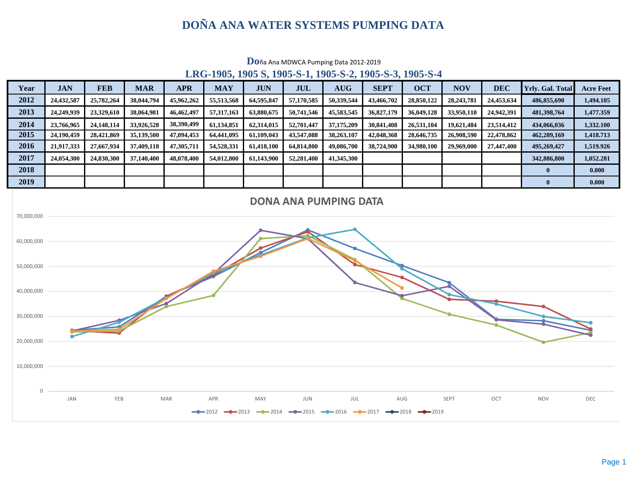# **DOÑA ANA WATER SYSTEMS PUMPING DATA**

|      |            |            |            |            |            |            |            |            | LKG-1905, 1905 S. 1905-S-1, 1905-S-4, 1905-S-5, 1905-S-4 |            |              |            |                         |                  |
|------|------------|------------|------------|------------|------------|------------|------------|------------|----------------------------------------------------------|------------|--------------|------------|-------------------------|------------------|
| Year | <b>JAN</b> | <b>FEB</b> | <b>MAR</b> | <b>APR</b> | <b>MAY</b> | <b>JUN</b> | <b>JUL</b> | <b>AUG</b> | <b>SEPT</b>                                              | <b>OCT</b> | <b>NOV</b>   | <b>DEC</b> | <b>Yrly. Gal. Total</b> | <b>Acre Feet</b> |
| 2012 | 24,432,587 | 25,782,264 | 38,044,794 | 45,962,262 | 55,513,568 | 64,595,847 | 57,170,585 | 50,339,544 | 43,466,702                                               | 28,850,122 | 28, 243, 781 | 24,453,634 | 486,855,690             | 1,494.105        |
| 2013 | 24,249,939 | 23.329,610 | 38,064,981 | 46,462,497 | 57,317,163 | 63,880,675 | 50,741,546 | 45,583,545 | 36,827,179                                               | 36,049,128 | 33,950,110   | 24,942,391 | 481,398,764             | 1,477,359        |
| 2014 | 23,766,965 | 24.148.114 | 33,926,528 | 38,390,499 | 61.134.851 | 62,314,015 | 52,701,447 | 37,175,209 | 30,841,408                                               | 26.531.104 | 19,621,484   | 23,514,412 | 434,066,036             | 1,332.100        |
| 2015 | 24.190.459 | 28,421,869 | 35,139,500 | 47,094,453 | 64,441,095 | 61,109,043 | 43,547,088 | 38,263,107 | 42,048,368                                               | 28,646,735 | 26,908,590   | 22,478,862 | 462,289,169             | 1,418.713        |
| 2016 | 21,917,333 | 27,667,934 | 37,409,118 | 47,305,711 | 54,528,331 | 61,418,100 | 64,814,800 | 49,086,700 | 38,724,900                                               | 34,980,100 | 29,969,000   | 27,447,400 | 495,269,427             | 1,519.926        |
| 2017 | 24,054,300 | 24,830,300 | 37,140,400 | 48,078,400 | 54,012,800 | 61.143.900 | 52,281,400 | 41,345,300 |                                                          |            |              |            | 342,886,800             | 1,052.281        |
| 2018 |            |            |            |            |            |            |            |            |                                                          |            |              |            |                         | 0.000            |
| 2019 |            |            |            |            |            |            |            |            |                                                          |            |              |            |                         | 0.000            |



**LRG-1905, 1905 S, 1905-S-1, 1905-S-2, 1905-S-3, 1905-S-4**

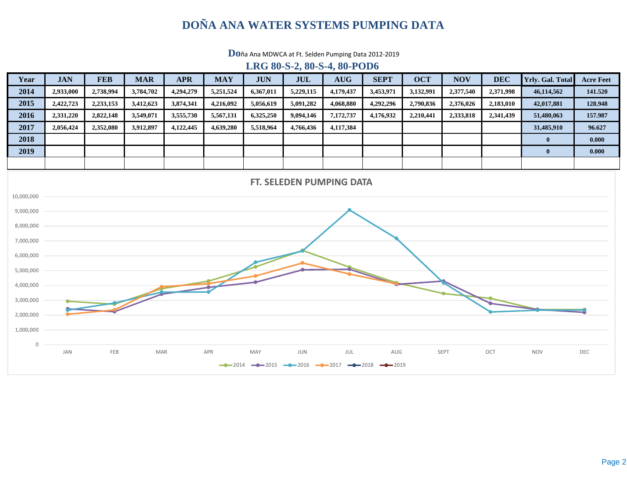# **DOÑA ANA WATER SYSTEMS PUMPING DATA**

**Do**ña Ana MDWCA at Ft. Selden Pumping Data 2012‐2019

#### **LRG 80-S-2, 80-S-4, 80-POD6**

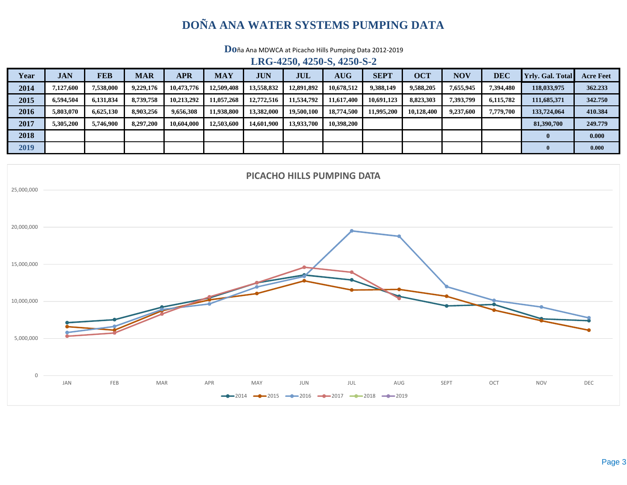# **DOÑA ANA WATER SYSTEMS PUMPING DATA**

**Do**ña Ana MDWCA at Picacho Hills Pumping Data 2012‐2019

**LRG-4250, 4250-S, 4250-S-2**

| Year | <b>JAN</b> | <b>FEB</b> | <b>MAR</b> | <b>APR</b> | <b>MAY</b> | <b>JUN</b> | JUL        | <b>AUG</b> | <b>SEPT</b> | <b>OCT</b> | <b>NOV</b> | <b>DEC</b> | <b>Yrly.</b> Gal. Total | <b>Acre Feet</b> |
|------|------------|------------|------------|------------|------------|------------|------------|------------|-------------|------------|------------|------------|-------------------------|------------------|
| 2014 | 7,127,600  | 7.538.000  | 9,229,176  | 10,473,776 | 12,509,408 | 13,558,832 | 12,891,892 | 10,678,512 | 9,388,149   | 9,588,205  | 7,655,945  | 7,394,480  | 118,033,975             | 362.233          |
| 2015 | 6,594,504  | 6,131,834  | 8,739,758  | 10,213,292 | 11,057,268 | 12,772,516 | 11,534,792 | 11,617,400 | 10,691,123  | 8,823,303  | 7,393,799  | 6,115,782  | 111,685,371             | 342.750          |
| 2016 | 5,803,070  | 6.625.130  | 8.903.256  | 9,656,308  | 11,938,800 | 13,382,000 | 19,500,100 | 18,774,500 | 11.995.200  | 10.128.400 | 9,237,600  | 7,779,700  | 133,724,064             | 410.384          |
| 2017 | 5,305,200  | 5,746,900  | 8,297,200  | 10,604,000 | 12,503,600 | 14,601,900 | 13,933,700 | 10.398.200 |             |            |            |            | 81,390,700              | 249.779          |
| 2018 |            |            |            |            |            |            |            |            |             |            |            |            |                         | 0.000            |
| 2019 |            |            |            |            |            |            |            |            |             |            |            |            |                         | 0.000            |

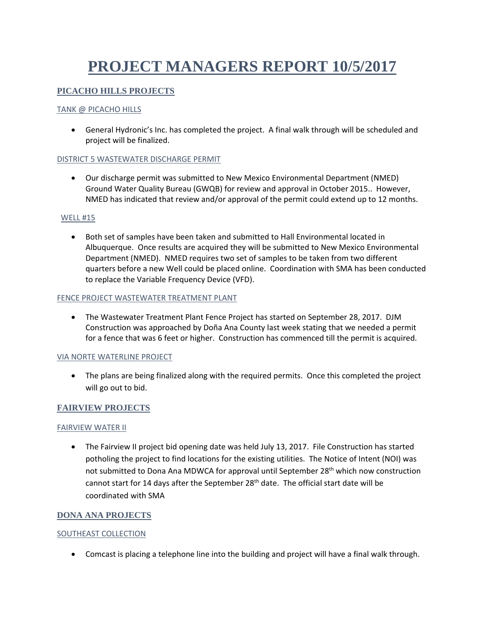# **PROJECT MANAGERS REPORT 10/5/2017**

#### **PICACHO HILLS PROJECTS**

#### TANK @ PICACHO HILLS

 General Hydronic's Inc. has completed the project. A final walk through will be scheduled and project will be finalized.

#### DISTRICT 5 WASTEWATER DISCHARGE PERMIT

 Our discharge permit was submitted to New Mexico Environmental Department (NMED) Ground Water Quality Bureau (GWQB) for review and approval in October 2015.. However, NMED has indicated that review and/or approval of the permit could extend up to 12 months.

#### WELL #15

 Both set of samples have been taken and submitted to Hall Environmental located in Albuquerque. Once results are acquired they will be submitted to New Mexico Environmental Department (NMED). NMED requires two set of samples to be taken from two different quarters before a new Well could be placed online. Coordination with SMA has been conducted to replace the Variable Frequency Device (VFD).

#### FENCE PROJECT WASTEWATER TREATMENT PLANT

 The Wastewater Treatment Plant Fence Project has started on September 28, 2017. DJM Construction was approached by Doña Ana County last week stating that we needed a permit for a fence that was 6 feet or higher. Construction has commenced till the permit is acquired.

#### VIA NORTE WATERLINE PROJECT

• The plans are being finalized along with the required permits. Once this completed the project will go out to bid.

#### **FAIRVIEW PROJECTS**

#### FAIRVIEW WATER II

• The Fairview II project bid opening date was held July 13, 2017. File Construction has started potholing the project to find locations for the existing utilities. The Notice of Intent (NOI) was not submitted to Dona Ana MDWCA for approval until September 28<sup>th</sup> which now construction cannot start for 14 days after the September 28<sup>th</sup> date. The official start date will be coordinated with SMA

#### **DONA ANA PROJECTS**

#### SOUTHEAST COLLECTION

Comcast is placing a telephone line into the building and project will have a final walk through.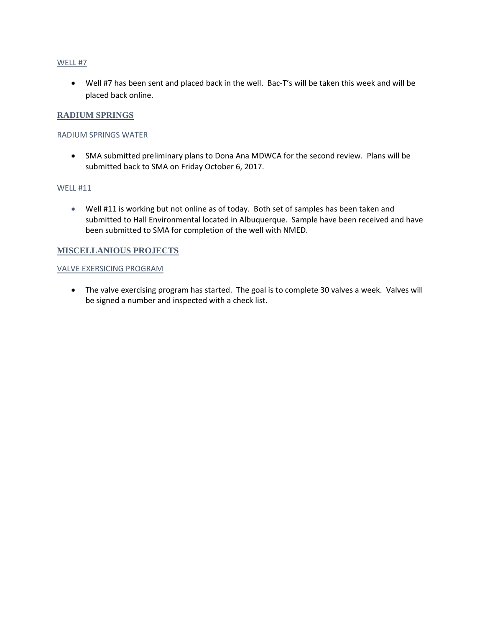#### WELL #7

● Well #7 has been sent and placed back in the well. Bac-T's will be taken this week and will be placed back online.

#### **RADIUM SPRINGS**

#### RADIUM SPRINGS WATER

 SMA submitted preliminary plans to Dona Ana MDWCA for the second review. Plans will be submitted back to SMA on Friday October 6, 2017.

#### WELL #11

 Well #11 is working but not online as of today. Both set of samples has been taken and submitted to Hall Environmental located in Albuquerque. Sample have been received and have been submitted to SMA for completion of the well with NMED.

#### **MISCELLANIOUS PROJECTS**

#### VALVE EXERSICING PROGRAM

 The valve exercising program has started. The goal is to complete 30 valves a week. Valves will be signed a number and inspected with a check list.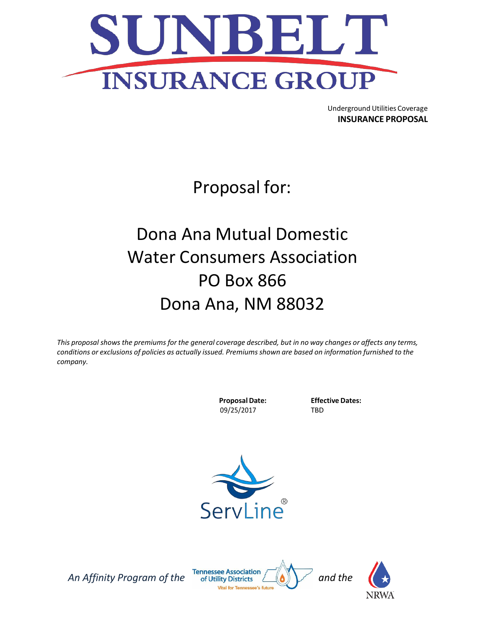

Underground Utilities Coverage **INSURANCE PROPOSAL**

Proposal for:

# Dona Ana Mutual Domestic Water Consumers Association PO Box 866 Dona Ana, NM 88032

This proposal shows the premiums for the general coverage described, but in no way changes or affects any terms, *conditions or exclusions of policies as actually issued. Premiumsshown are based on information furnished to the company.*

> **ProposalDate:** 09/25/2017

**Effective Dates:** TBD





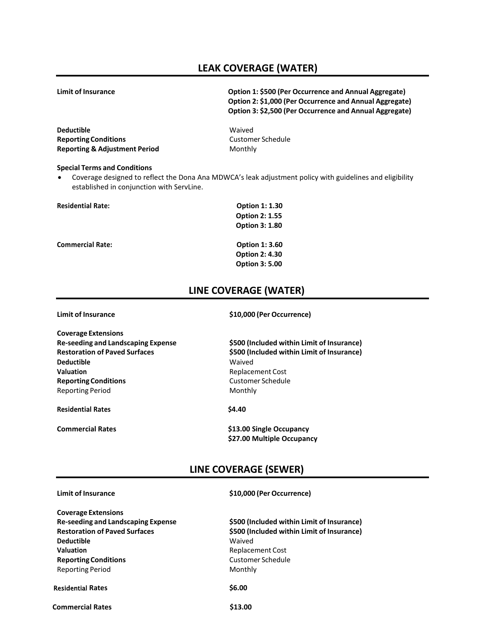## **LEAK COVERAGE (WATER)**

**Limit of Insurance Option 1: \$500 (Per Occurrence and Annual Aggregate) Option 2: \$1,000 (Per Occurrence and Annual Aggregate) Option 3: \$2,500 (Per Occurrence and Annual Aggregate)**

**Deductible** Waived **Reporting Conditions Customer Schedule Reporting & Adjustment Period** Monthly

#### **Special Terms and Conditions**

• Coverage designed to reflect the Dona Ana MDWCA's leak adjustment policy with guidelines and eligibility established in conjunction with ServLine.

| <b>Residential Rate:</b> | <b>Option 1: 1.30</b> |  |  |  |  |
|--------------------------|-----------------------|--|--|--|--|
|                          | <b>Option 2: 1.55</b> |  |  |  |  |
|                          | <b>Option 3: 1.80</b> |  |  |  |  |
| <b>Commercial Rate:</b>  | <b>Option 1: 3.60</b> |  |  |  |  |
|                          | <b>Option 2: 4.30</b> |  |  |  |  |
|                          | <b>Option 3: 5.00</b> |  |  |  |  |

### **LINE COVERAGE (WATER)**

| <b>Limit of Insurance</b>                 | \$10,000 (Per Occurrence)                              |  |  |  |  |
|-------------------------------------------|--------------------------------------------------------|--|--|--|--|
| <b>Coverage Extensions</b>                |                                                        |  |  |  |  |
| <b>Re-seeding and Landscaping Expense</b> | \$500 (Included within Limit of Insurance)             |  |  |  |  |
| <b>Restoration of Paved Surfaces</b>      | \$500 (Included within Limit of Insurance)             |  |  |  |  |
| Deductible                                | Waived                                                 |  |  |  |  |
| Valuation                                 | Replacement Cost                                       |  |  |  |  |
| <b>Reporting Conditions</b>               | Customer Schedule                                      |  |  |  |  |
| <b>Reporting Period</b>                   | Monthly                                                |  |  |  |  |
| <b>Residential Rates</b>                  | \$4.40                                                 |  |  |  |  |
| <b>Commercial Rates</b>                   | \$13.00 Single Occupancy<br>\$27.00 Multiple Occupancy |  |  |  |  |

### **LINE COVERAGE (SEWER)**

**Coverage Extensions Re-seeding and Landscaping Expense \$500 (Included within Limit of Insurance) Restoration of Paved Surfaces \$500 (Included within Limit of Insurance) Deductible** Waived **Valuation Valuation Replacement Cost Reporting Conditions Customer Schedule** Reporting Period Monthly

#### Residential **Rates \$6.00**

**Commercial Rates** \$13.00

#### **Limit of Insurance \$10,000 (Per Occurrence)**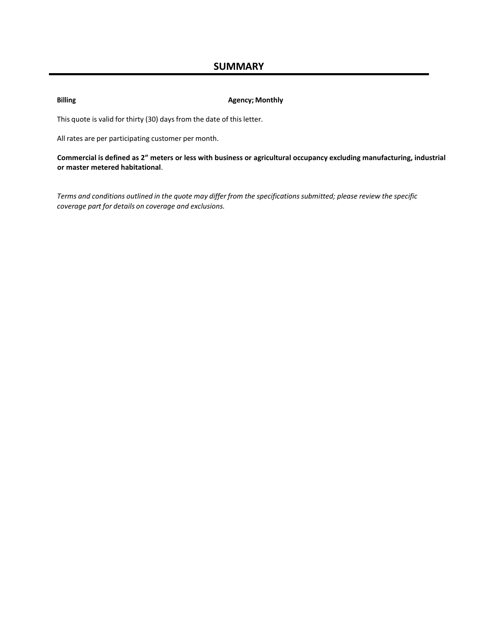**Billing Agency; Monthly**

This quote is valid for thirty (30) days from the date of this letter.

All rates are per participating customer per month.

**Commercial is defined as 2" meters or less with business or agricultural occupancy excluding manufacturing, industrial or master metered habitational**.

Terms and conditions outlined in the quote may differ from the specifications submitted; please review the specific *coverage part for details on coverage and exclusions.*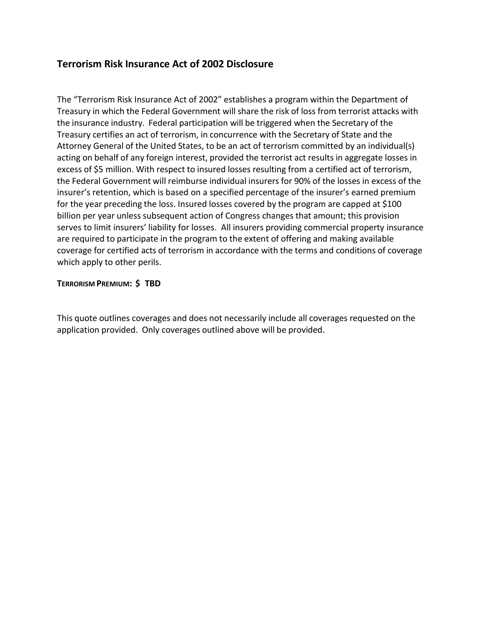## **Terrorism Risk Insurance Act of 2002 Disclosure**

The "Terrorism Risk Insurance Act of 2002" establishes a program within the Department of Treasury in which the Federal Government will share the risk of loss from terrorist attacks with the insurance industry. Federal participation will be triggered when the Secretary of the Treasury certifies an act of terrorism, in concurrence with the Secretary of State and the Attorney General of the United States, to be an act of terrorism committed by an individual(s) acting on behalf of any foreign interest, provided the terrorist act results in aggregate losses in excess of \$5 million. With respect to insured losses resulting from a certified act of terrorism, the Federal Government will reimburse individual insurers for 90% of the losses in excess of the insurer's retention, which is based on a specified percentage of the insurer's earned premium for the year preceding the loss. Insured losses covered by the program are capped at \$100 billion per year unless subsequent action of Congress changes that amount; this provision serves to limit insurers' liability for losses. All insurers providing commercial property insurance are required to participate in the program to the extent of offering and making available coverage for certified acts of terrorism in accordance with the terms and conditions of coverage which apply to other perils.

#### **TERRORISM PREMIUM: \$ TBD**

This quote outlines coverages and does not necessarily include all coverages requested on the application provided. Only coverages outlined above will be provided.